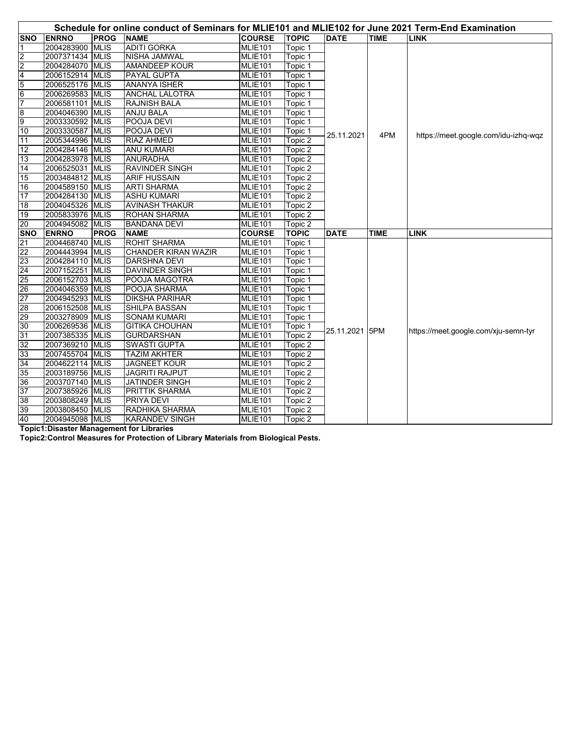|                 | Schedule for online conduct of Seminars for MLIE101 and MLIE102 for June 2021 Term-End Examination |             |                            |                     |              |                |             |                                      |  |
|-----------------|----------------------------------------------------------------------------------------------------|-------------|----------------------------|---------------------|--------------|----------------|-------------|--------------------------------------|--|
| <b>SNO</b>      | <b>ENRNO</b>                                                                                       | <b>PROG</b> | <b>NAME</b>                | <b>COURSE</b>       | <b>TOPIC</b> | <b>DATE</b>    | <b>TIME</b> | <b>LINK</b>                          |  |
| 1               | 2004283900                                                                                         | <b>MLIS</b> | <b>ADITI GORKA</b>         | <b>MLIE101</b>      | Topic 1      |                |             |                                      |  |
| $\overline{2}$  | 2007371434 MLIS                                                                                    |             | <b>NISHA JAMWAL</b>        | <b>MLIE101</b>      | Topic 1      |                |             |                                      |  |
| $\overline{2}$  | 2004284070 MLIS                                                                                    |             | AMANDEEP KOUR              | MLIE101             | Topic 1      |                |             |                                      |  |
| 4               | 2006152914 MLIS                                                                                    |             | PAYAL GUPTA                | MLIE101             | Topic 1      |                |             |                                      |  |
| 5               | 2006525176 MLIS                                                                                    |             | <b>ANANYA ISHER</b>        | <b>MLIE101</b>      | Topic 1      |                |             |                                      |  |
| $6\overline{6}$ | 2006269583 MLIS                                                                                    |             | <b>ANCHAL LALOTRA</b>      | MLIE101             | Topic 1      | 25.11.2021     | 4PM         | https://meet.google.com/idu-izhq-wqz |  |
| $\overline{7}$  | 2006581101 MLIS                                                                                    |             | <b>RAJNISH BALA</b>        | <b>MLIE101</b>      | Topic 1      |                |             |                                      |  |
| $\overline{8}$  | 2004046390 MLIS                                                                                    |             | <b>ANJU BALA</b>           | <b>MLIE101</b>      | Topic 1      |                |             |                                      |  |
| 9               | 2003330592 MLIS                                                                                    |             | POOJA DEVI                 | <b>MLIE101</b>      | Topic 1      |                |             |                                      |  |
| 10              | 2003330587 MLIS                                                                                    |             | POOJA DEVI                 | MLIE <sub>101</sub> | Topic 1      |                |             |                                      |  |
| 11              | 2005344996 MLIS                                                                                    |             | <b>RIAZ AHMED</b>          | MLIE <sub>101</sub> | Topic 2      |                |             |                                      |  |
| 12              | 2004284146 MLIS                                                                                    |             | <b>ANU KUMARI</b>          | <b>MLIE101</b>      | Topic 2      |                |             |                                      |  |
| 13              | 2004283978 MLIS                                                                                    |             | <b>ANURADHA</b>            | MLIE101             | Topic 2      |                |             |                                      |  |
| 14              | 2006525031 MLIS                                                                                    |             | <b>RAVINDER SINGH</b>      | MLIE101             | Topic 2      |                |             |                                      |  |
| 15              | 2003484812 MLIS                                                                                    |             | <b>ARIF HUSSAIN</b>        | MLIE101             | Topic 2      |                |             |                                      |  |
| 16              | 2004589150 MLIS                                                                                    |             | <b>ARTI SHARMA</b>         | <b>MLIE101</b>      | Topic 2      |                |             |                                      |  |
| 17              | 2004284130 MLIS                                                                                    |             | <b>ASHU KUMARI</b>         | <b>MLIE101</b>      | Topic 2      |                |             |                                      |  |
| 18              | 2004045326 MLIS                                                                                    |             | <b>AVINASH THAKUR</b>      | <b>MLIE101</b>      | Topic 2      |                |             |                                      |  |
| 19              | 2005833976 MLIS                                                                                    |             | <b>ROHAN SHARMA</b>        | <b>MLIE101</b>      | Topic 2      |                |             |                                      |  |
| 20              | 2004945082 MLIS                                                                                    |             | <b>BANDANA DEVI</b>        | MLIE101             | Topic 2      |                |             |                                      |  |
| <b>SNO</b>      | <b>ENRNO</b>                                                                                       | <b>PROG</b> | <b>NAME</b>                | <b>COURSE</b>       | <b>TOPIC</b> | <b>DATE</b>    | <b>TIME</b> | <b>LINK</b>                          |  |
| $\overline{21}$ | 2004468740 MLIS                                                                                    |             | <b>ROHIT SHARMA</b>        | MLIE101             | Topic 1      |                |             |                                      |  |
| 22              | 2004443994 MLIS                                                                                    |             | <b>CHANDER KIRAN WAZIR</b> | <b>MLIE101</b>      | Topic 1      |                |             |                                      |  |
| 23              | 2004284110 MLIS                                                                                    |             | <b>DARSHNA DEVI</b>        | <b>MLIE101</b>      | Topic 1      |                |             |                                      |  |
| 24              | 2007152251 MLIS                                                                                    |             | DAVINDER SINGH             | <b>MLIE101</b>      | Topic 1      |                |             | https://meet.google.com/xju-semn-tyr |  |
| 25              | 2006152703 MLIS                                                                                    |             | POOJA MAGOTRA              | MLIE101             | Topic 1      |                |             |                                      |  |
| 26              | 2004046359 MLIS                                                                                    |             | POOJA SHARMA               | <b>MLIE101</b>      | Topic 1      |                |             |                                      |  |
| 27              | 2004945293 MLIS                                                                                    |             | <b>DIKSHA PARIHAR</b>      | MLIE101             | Topic 1      |                |             |                                      |  |
| 28              | 2006152508 MLIS                                                                                    |             | SHILPA BASSAN              | MLIE101             | Topic 1      |                |             |                                      |  |
| 29              | 2003278909 MLIS                                                                                    |             | <b>SONAM KUMARI</b>        | <b>MLIE101</b>      | Topic 1      | 25.11.2021 5PM |             |                                      |  |
| 30              | 2006269536 MLIS                                                                                    |             | <b>GITIKA CHOUHAN</b>      | MLIE <sub>101</sub> | Topic 1      |                |             |                                      |  |
| 31              | 2007385335 MLIS                                                                                    |             | <b>GURDARSHAN</b>          | MLIE101             | Topic 2      |                |             |                                      |  |
| 32              | 2007369210 MLIS                                                                                    |             | SWASTI GUPTA               | MLIE101             | Topic 2      |                |             |                                      |  |
| 33              | 2007455704 MLIS                                                                                    |             | <b>TAZIM AKHTER</b>        | <b>MLIE101</b>      | Topic 2      |                |             |                                      |  |
| 34              | 2004622114 MLIS                                                                                    |             | <b>JAGNEET KOUR</b>        | MLIE101             | Topic 2      |                |             |                                      |  |
| 35              | 2003189756 MLIS                                                                                    |             | <b>JAGRITI RAJPUT</b>      | MLIE101             | Topic 2      |                |             |                                      |  |
| 36              | 2003707140 MLIS                                                                                    |             | <b>JATINDER SINGH</b>      | <b>MLIE101</b>      | Topic 2      |                |             |                                      |  |
| 37              | 2007385926 MLIS                                                                                    |             | PRITTIK SHARMA             | <b>MLIE101</b>      | Topic 2      |                |             |                                      |  |
| 38              | 2003808249 MLIS                                                                                    |             | PRIYA DEVI                 | MLIE <sub>101</sub> | Topic 2      |                |             |                                      |  |
| 39              | 2003808450 MLIS                                                                                    |             | RADHIKA SHARMA             | MLIE <sub>101</sub> | Topic 2      |                |             |                                      |  |
| 40              | 2004945098 MLIS                                                                                    |             | <b>KARANDEV SINGH</b>      | MLIE101             | Topic 2      |                |             |                                      |  |

**Topic1:Disaster Management for Libraries**

**Topic2:Control Measures for Protection of Library Materials from Biological Pests.**